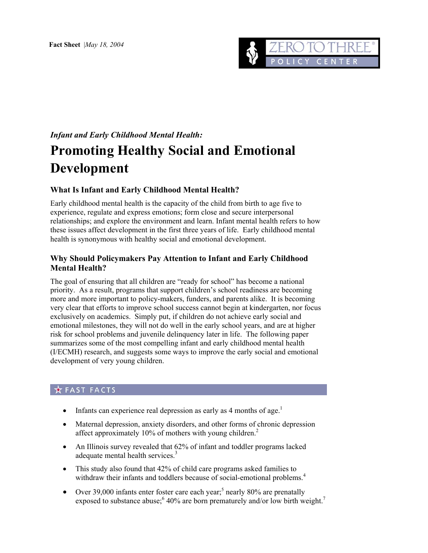

# *Infant and Early Childhood Mental Health:*  **Promoting Healthy Social and Emotional Development**

# **What Is Infant and Early Childhood Mental Health?**

Early childhood mental health is the capacity of the child from birth to age five to experience, regulate and express emotions; form close and secure interpersonal relationships; and explore the environment and learn. Infant mental health refers to how these issues affect development in the first three years of life. Early childhood mental health is synonymous with healthy social and emotional development.

### **Why Should Policymakers Pay Attention to Infant and Early Childhood Mental Health?**

The goal of ensuring that all children are "ready for school" has become a national priority. As a result, programs that support children's school readiness are becoming more and more important to policy-makers, funders, and parents alike. It is becoming very clear that efforts to improve school success cannot begin at kindergarten, nor focus exclusively on academics. Simply put, if children do not achieve early social and emotional milestones, they will not do well in the early school years, and are at higher risk for school problems and juvenile delinquency later in life. The following paper summarizes some of the most compelling infant and early childhood mental health (I/ECMH) research, and suggests some ways to improve the early social and emotional development of very young children.

# **THE FACTS**

- Infants can experience real depression as early as 4 months of age.<sup>[1](#page-10-0)</sup>
- Maternal depression, anxiety disorders, and other forms of chronic depression affect approximately 10% of mothers with young children.<sup>2</sup>
- An Illinois survey revealed that 62% of infant and toddler programs lacked adequate mental health services.<sup>[3](#page-10-2)</sup>
- This study also found that 42% of child care programs asked families to withdraw their infants and toddlers because of social-emotional problems.<sup>[4](#page-10-3)</sup>
- Over 39,000 infants enter foster care each year;<sup>[5](#page-10-3)</sup> nearly 80% are prenatally exposedto substance abuse;  $6\frac{40}{%}$  are born prematurely and/or low birth weight.<sup>[7](#page-10-5)</sup>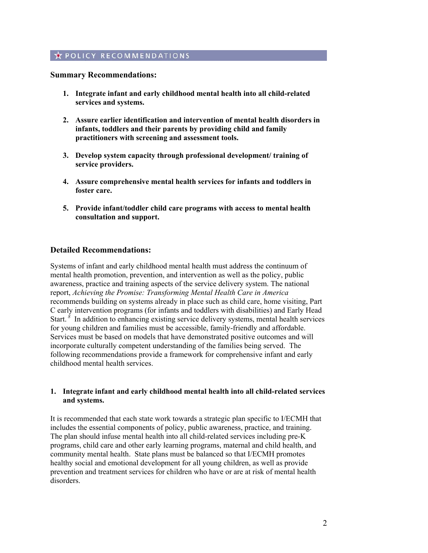# **A POLICY RECOMMENDATIONS**

#### **Summary Recommendations:**

- **1. Integrate infant and early childhood mental health into all child-related services and systems.**
- **2. Assure earlier identification and intervention of mental health disorders in infants, toddlers and their parents by providing child and family practitioners with screening and assessment tools.**
- **3. Develop system capacity through professional development/ training of service providers.**
- **4. Assure comprehensive mental health services for infants and toddlers in foster care.**
- **5. Provide infant/toddler child care programs with access to mental health consultation and support.**

#### **Detailed Recommendations:**

Systems of infant and early childhood mental health must address the continuum of mental health promotion, prevention, and intervention as well as the policy, public awareness, practice and training aspects of the service delivery system. The national report, *Achieving the Promise: Transforming Mental Health Care in America*  recommends building on systems already in place such as child care, home visiting, Part C early intervention programs (for infants and toddlers with disabilities) and Early Head Start.<sup>8</sup> In addition to enhancing existing service delivery systems, mental health services for young children and families must be accessible, family-friendly and affordable. Services must be based on models that have demonstrated positive outcomes and will incorporate culturally competent understanding of the families being served. The following recommendations provide a framework for comprehensive infant and early childhood mental health services.

#### **1. Integrate infant and early childhood mental health into all child-related services and systems.**

It is recommended that each state work towards a strategic plan specific to I/ECMH that includes the essential components of policy, public awareness, practice, and training. The plan should infuse mental health into all child-related services including pre-K programs, child care and other early learning programs, maternal and child health, and community mental health. State plans must be balanced so that I/ECMH promotes healthy social and emotional development for all young children, as well as provide prevention and treatment services for children who have or are at risk of mental health disorders.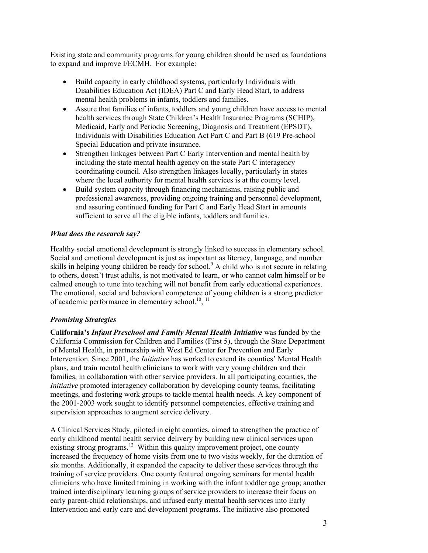Existing state and community programs for young children should be used as foundations to expand and improve I/ECMH. For example:

- Build capacity in early childhood systems, particularly Individuals with Disabilities Education Act (IDEA) Part C and Early Head Start, to address mental health problems in infants, toddlers and families.
- Assure that families of infants, toddlers and young children have access to mental health services through State Children's Health Insurance Programs (SCHIP), Medicaid, Early and Periodic Screening, Diagnosis and Treatment (EPSDT), Individuals with Disabilities Education Act Part C and Part B (619 Pre-school Special Education and private insurance.
- Strengthen linkages between Part C Early Intervention and mental health by including the state mental health agency on the state Part C interagency coordinating council. Also strengthen linkages locally, particularly in states where the local authority for mental health services is at the county level.
- Build system capacity through financing mechanisms, raising public and professional awareness, providing ongoing training and personnel development, and assuring continued funding for Part C and Early Head Start in amounts sufficient to serve all the eligible infants, toddlers and families.

#### *What does the research say?*

Healthy social emotional development is strongly linked to success in elementary school. Social and emotional development is just as important as literacy, language, and number skills in helping young children be ready for school.<sup>9</sup> A child who is not secure in relating to others, doesn't trust adults, is not motivated to learn, or who cannot calm himself or be calmed enough to tune into teaching will not benefit from early educational experiences. The emotional, social and behavioral competence of young children is a strong predictor of academic performance in elementary school.<sup>10</sup>,  $^{11}$ 

#### *Promising Strategies*

**California's** *Infant Preschool and Family Mental Health Initiative* was funded by the California Commission for Children and Families (First 5), through the State Department of Mental Health, in partnership with West Ed Center for Prevention and Early Intervention. Since 2001, the *Initiative* has worked to extend its counties' Mental Health plans, and train mental health clinicians to work with very young children and their families, in collaboration with other service providers. In all participating counties, the *Initiative* promoted interagency collaboration by developing county teams, facilitating meetings, and fostering work groups to tackle mental health needs. A key component of the 2001-2003 work sought to identify personnel competencies, effective training and supervision approaches to augment service delivery.

A Clinical Services Study, piloted in eight counties, aimed to strengthen the practice of early childhood mental health service delivery by building new clinical services upon existing strong programs.<sup>12</sup> Within this quality improvement project, one county increased the frequency of home visits from one to two visits weekly, for the duration of six months. Additionally, it expanded the capacity to deliver those services through the training of service providers. One county featured ongoing seminars for mental health clinicians who have limited training in working with the infant toddler age group; another trained interdisciplinary learning groups of service providers to increase their focus on early parent-child relationships, and infused early mental health services into Early Intervention and early care and development programs. The initiative also promoted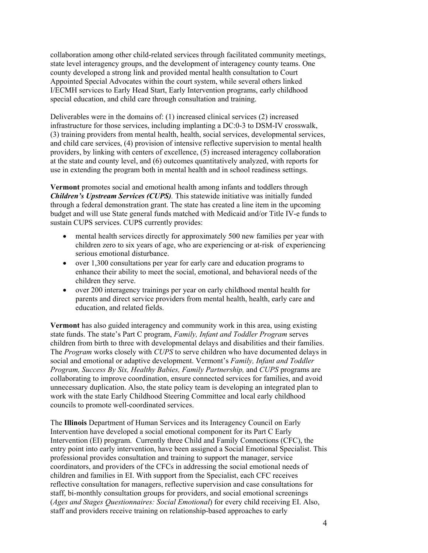collaboration among other child-related services through facilitated community meetings, state level interagency groups, and the development of interagency county teams. One county developed a strong link and provided mental health consultation to Court Appointed Special Advocates within the court system, while several others linked I/ECMH services to Early Head Start, Early Intervention programs, early childhood special education, and child care through consultation and training.

Deliverables were in the domains of: (1) increased clinical services (2) increased infrastructure for those services, including implanting a DC:0-3 to DSM-IV crosswalk, (3) training providers from mental health, health, social services, developmental services, and child care services, (4) provision of intensive reflective supervision to mental health providers, by linking with centers of excellence, (5) increased interagency collaboration at the state and county level, and (6) outcomes quantitatively analyzed, with reports for use in extending the program both in mental health and in school readiness settings.

**Vermont** promotes social and emotional health among infants and toddlers through *Children's Upstream Services (CUPS).* This statewide initiative was initially funded through a federal demonstration grant. The state has created a line item in the upcoming budget and will use State general funds matched with Medicaid and/or Title IV-e funds to sustain CUPS services. CUPS currently provides:

- mental health services directly for approximately 500 new families per year with children zero to six years of age, who are experiencing or at-risk of experiencing serious emotional disturbance.
- over 1,300 consultations per year for early care and education programs to enhance their ability to meet the social, emotional, and behavioral needs of the children they serve.
- over 200 interagency trainings per year on early childhood mental health for parents and direct service providers from mental health, health, early care and education, and related fields.

**Vermont** has also guided interagency and community work in this area, using existing state funds. The state's Part C program, *Family, Infant and Toddler Program* serves children from birth to three with developmental delays and disabilities and their families. The *Program* works closely with *CUPS* to serve children who have documented delays in social and emotional or adaptive development. Vermont's *Family, Infant and Toddler Program, Success By Six, Healthy Babies, Family Partnership,* and *CUPS* programs are collaborating to improve coordination, ensure connected services for families, and avoid unnecessary duplication. Also, the state policy team is developing an integrated plan to work with the state Early Childhood Steering Committee and local early childhood councils to promote well-coordinated services.

The **Illinois** Department of Human Services and its Interagency Council on Early Intervention have developed a social emotional component for its Part C Early Intervention (EI) program. Currently three Child and Family Connections (CFC), the entry point into early intervention, have been assigned a Social Emotional Specialist. This professional provides consultation and training to support the manager, service coordinators, and providers of the CFCs in addressing the social emotional needs of children and families in EI. With support from the Specialist, each CFC receives reflective consultation for managers, reflective supervision and case consultations for staff, bi-monthly consultation groups for providers, and social emotional screenings (*Ages and Stages Questionnaires: Social Emotional*) for every child receiving EI. Also, staff and providers receive training on relationship-based approaches to early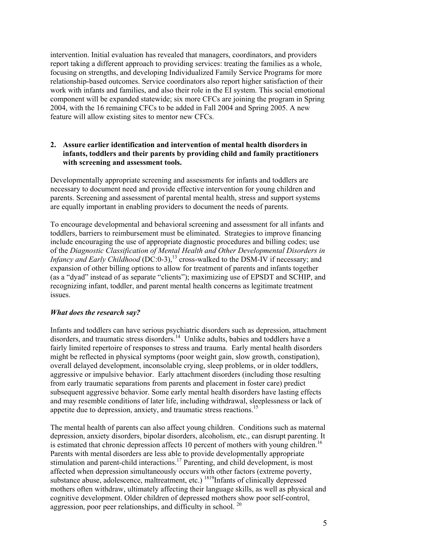intervention. Initial evaluation has revealed that managers, coordinators, and providers report taking a different approach to providing services: treating the families as a whole, focusing on strengths, and developing Individualized Family Service Programs for more relationship-based outcomes. Service coordinators also report higher satisfaction of their work with infants and families, and also their role in the EI system. This social emotional component will be expanded statewide; six more CFCs are joining the program in Spring 2004, with the 16 remaining CFCs to be added in Fall 2004 and Spring 2005. A new feature will allow existing sites to mentor new CFCs.

#### **2. Assure earlier identification and intervention of mental health disorders in infants, toddlers and their parents by providing child and family practitioners with screening and assessment tools.**

Developmentally appropriate screening and assessments for infants and toddlers are necessary to document need and provide effective intervention for young children and parents. Screening and assessment of parental mental health, stress and support systems are equally important in enabling providers to document the needs of parents.

To encourage developmental and behavioral screening and assessment for all infants and toddlers, barriers to reimbursement must be eliminated. Strategies to improve financing include encouraging the use of appropriate diagnostic procedures and billing codes; use of the *Diagnostic Classification of Mental Health and Other Developmental Disorders in Infancy and Early Childhood* (DC:0-3), [13](#page-10-10) cross-walked to the DSM-IV if necessary; and expansion of other billing options to allow for treatment of parents and infants together (as a "dyad" instead of as separate "clients"); maximizing use of EPSDT and SCHIP, and recognizing infant, toddler, and parent mental health concerns as legitimate treatment issues.

#### *What does the research say?*

Infants and toddlers can have serious psychiatric disorders such as depression, attachment disorders, and traumatic stress disorders.<sup>14</sup> Unlike adults, babies and toddlers have a fairly limited repertoire of responses to stress and trauma. Early mental health disorders might be reflected in physical symptoms (poor weight gain, slow growth, constipation), overall delayed development, inconsolable crying, sleep problems, or in older toddlers, aggressive or impulsive behavior. Early attachment disorders (including those resulting from early traumatic separations from parents and placement in foster care) predict subsequent aggressive behavior. Some early mental health disorders have lasting effects and may resemble conditions of later life, including withdrawal, sleeplessness or lack of appetite due to depression, anxiety, and traumatic stress reactions.[15](#page-10-12)

The mental health of parents can also affect young children. Conditions such as maternal depression, anxiety disorders, bipolar disorders, alcoholism, etc., can disrupt parenting. It is estimated that chronic depression affects 10 percent of mothers with young children.<sup>[16](#page-10-13)</sup> Parents with mental disorders are less able to provide developmentally appropriate stimulation and parent-child interactions.<sup>17</sup> Parenting, and child development, is most affected when depression simultaneously occurs with other factors (extreme poverty, substance abuse, adolescence, maltreatment, etc.) <sup>1819</sup>Infants of clinically depressed mothers often withdraw, ultimately affecting their language skills, as well as physical and cognitive development. Older children of depressed mothers show poor self-control, aggression, poor peer relationships, and difficulty in school. [20](#page-10-5)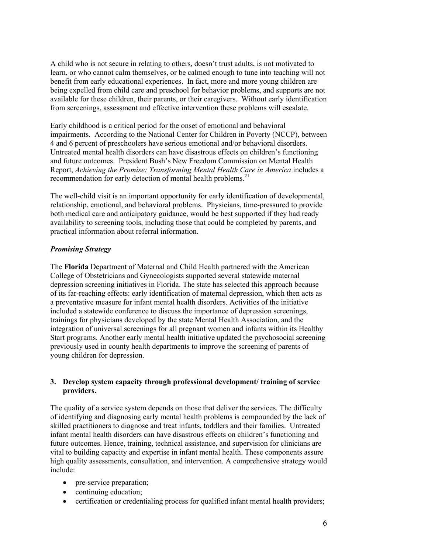A child who is not secure in relating to others, doesn't trust adults, is not motivated to learn, or who cannot calm themselves, or be calmed enough to tune into teaching will not benefit from early educational experiences. In fact, more and more young children are being expelled from child care and preschool for behavior problems, and supports are not available for these children, their parents, or their caregivers. Without early identification from screenings, assessment and effective intervention these problems will escalate.

Early childhood is a critical period for the onset of emotional and behavioral impairments. According to the National Center for Children in Poverty (NCCP), between 4 and 6 percent of preschoolers have serious emotional and/or behavioral disorders. Untreated mental health disorders can have disastrous effects on children's functioning and future outcomes. President Bush's New Freedom Commission on Mental Health Report, *Achieving the Promise: Transforming Mental Health Care in America* includes a recommendation for early detection of mental health problems.<sup>[21](#page-10-16)</sup>

The well-child visit is an important opportunity for early identification of developmental, relationship, emotional, and behavioral problems. Physicians, time-pressured to provide both medical care and anticipatory guidance, would be best supported if they had ready availability to screening tools, including those that could be completed by parents, and practical information about referral information.

#### *Promising Strategy*

The **Florida** Department of Maternal and Child Health partnered with the American College of Obstetricians and Gynecologists supported several statewide maternal depression screening initiatives in Florida. The state has selected this approach because of its far-reaching effects: early identification of maternal depression, which then acts as a preventative measure for infant mental health disorders. Activities of the initiative included a statewide conference to discuss the importance of depression screenings, trainings for physicians developed by the state Mental Health Association, and the integration of universal screenings for all pregnant women and infants within its Healthy Start programs. Another early mental health initiative updated the psychosocial screening previously used in county health departments to improve the screening of parents of young children for depression.

#### **3. Develop system capacity through professional development/ training of service providers.**

The quality of a service system depends on those that deliver the services. The difficulty of identifying and diagnosing early mental health problems is compounded by the lack of skilled practitioners to diagnose and treat infants, toddlers and their families. Untreated infant mental health disorders can have disastrous effects on children's functioning and future outcomes. Hence, training, technical assistance, and supervision for clinicians are vital to building capacity and expertise in infant mental health. These components assure high quality assessments, consultation, and intervention. A comprehensive strategy would include:

- pre-service preparation;
- continuing education;
- certification or credentialing process for qualified infant mental health providers;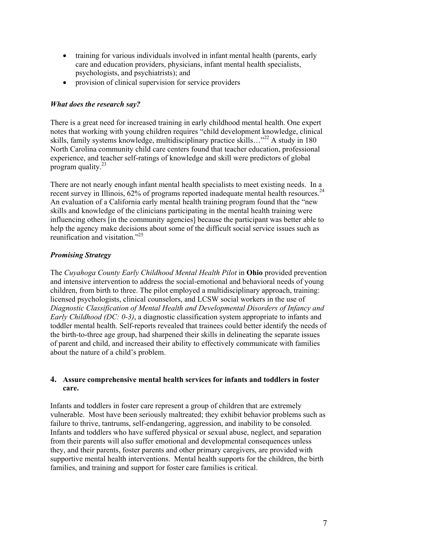- training for various individuals involved in infant mental health (parents, early care and education providers, physicians, infant mental health specialists, psychologists, and psychiatrists); and
- provision of clinical supervision for service providers

#### *What does the research say?*

There is a great need for increased training in early childhood mental health. One expert notes that working with young children requires "child development knowledge, clinical skills, family systems knowledge, multidisciplinary practice skills…"<sup>22</sup> A study in 180 North Carolina community child care centers found that teacher education, professional experience, and teacher self-ratings of knowledge and skill were predictors of global program quality. $^{23}$ 

There are not nearly enough infant mental health specialists to meet existing needs. In a recent survey in Illinois,  $62\%$  of programs reported inadequate mental health resources.<sup>24</sup> An evaluation of a California early mental health training program found that the "new skills and knowledge of the clinicians participating in the mental health training were influencing others [in the community agencies] because the participant was better able to help the agency make decisions about some of the difficult social service issues such as reunification and visitation." [25](#page-10-20) 

#### *Promising Strategy*

The *Cuyahoga County Early Childhood Mental Health Pilot* in **Ohio** provided prevention and intensive intervention to address the social-emotional and behavioral needs of young children, from birth to three. The pilot employed a multidisciplinary approach, training: licensed psychologists, clinical counselors, and LCSW social workers in the use of *Diagnostic Classification of Mental Health and Developmental Disorders of Infancy and Early Childhood (DC: 0-3)*, a diagnostic classification system appropriate to infants and toddler mental health. Self-reports revealed that trainees could better identify the needs of the birth-to-three age group, had sharpened their skills in delineating the separate issues of parent and child, and increased their ability to effectively communicate with families about the nature of a child's problem.

#### **4. Assure comprehensive mental health services for infants and toddlers in foster care.**

Infants and toddlers in foster care represent a group of children that are extremely vulnerable. Most have been seriously maltreated; they exhibit behavior problems such as failure to thrive, tantrums, self-endangering, aggression, and inability to be consoled. Infants and toddlers who have suffered physical or sexual abuse, neglect, and separation from their parents will also suffer emotional and developmental consequences unless they, and their parents, foster parents and other primary caregivers, are provided with supportive mental health interventions. Mental health supports for the children, the birth families, and training and support for foster care families is critical.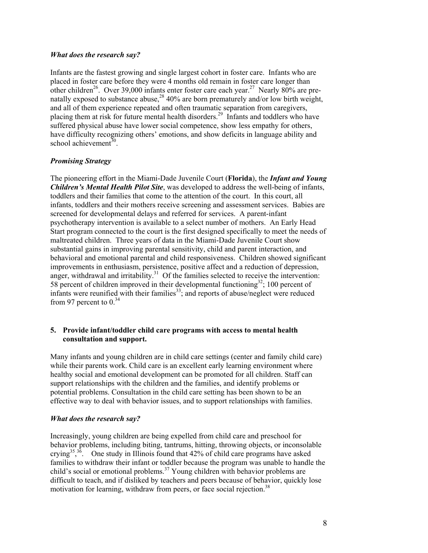#### *What does the research say?*

Infants are the fastest growing and single largest cohort in foster care. Infants who are placed in foster care before they were 4 months old remain in foster care longer than other children<sup>26</sup>. Over 39,000 infants enter foster care each year.<sup>27</sup> Nearly 80% are prenatally exposed to substance abuse,  $28\frac{1}{40\%}$  are born prematurely and/or low birth weight, and all of them experience repeated and often traumatic separation from caregivers, placing them at risk for future mental health disorders.[29](#page-10-23) Infants and toddlers who have suffered physical abuse have lower social competence, show less empathy for others, have difficulty recognizing others' emotions, and show deficits in language ability and school achievement $30$ .

#### *Promising Strategy*

The pioneering effort in the Miami-Dade Juvenile Court (**Florida**), the *Infant and Young Children's Mental Health Pilot Site*, was developed to address the well-being of infants, toddlers and their families that come to the attention of the court. In this court, all infants, toddlers and their mothers receive screening and assessment services. Babies are screened for developmental delays and referred for services. A parent-infant psychotherapy intervention is available to a select number of mothers. An Early Head Start program connected to the court is the first designed specifically to meet the needs of maltreated children. Three years of data in the Miami-Dade Juvenile Court show substantial gains in improving parental sensitivity, child and parent interaction, and behavioral and emotional parental and child responsiveness. Children showed significant improvements in enthusiasm, persistence, positive affect and a reduction of depression, anger, withdrawal and irritability.<sup>31</sup> Of the families selected to receive the intervention: 58 percent of children improved in their developmental functioning $32$ ; 100 percent of infants were reunified with their families<sup>33</sup>; and reports of abuse/neglect were reduced from 97 percent to  $0^{34}$  $0^{34}$  $0^{34}$ 

#### **5. Provide infant/toddler child care programs with access to mental health consultation and support.**

Many infants and young children are in child care settings (center and family child care) while their parents work. Child care is an excellent early learning environment where healthy social and emotional development can be promoted for all children. Staff can support relationships with the children and the families, and identify problems or potential problems. Consultation in the child care setting has been shown to be an effective way to deal with behavior issues, and to support relationships with families.

#### *What does the research say?*

Increasingly, young children are being expelled from child care and preschool for behavior problems, including biting, tantrums, hitting, throwing objects, or inconsolable crying<sup>35</sup>,<sup>36</sup>. One study in Illinois found that 42% of child care programs have asked families to withdraw their infant or toddler because the program was unable to handle the child's social or emotional problems.<sup>37</sup> Young children with behavior problems are difficult to teach, and if disliked by teachers and peers because of behavior, quickly lose motivation for learning, withdraw from peers, or face social rejection.<sup>38</sup>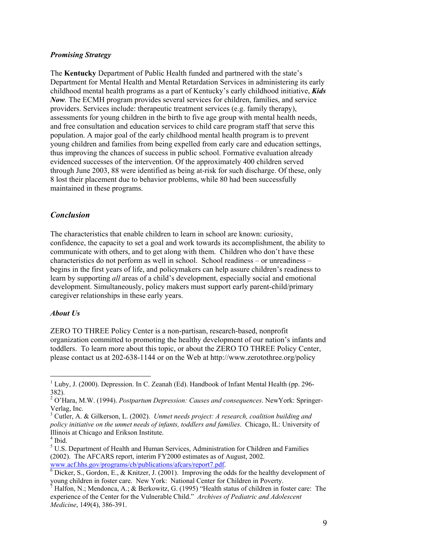#### *Promising Strategy*

The **Kentucky** Department of Public Health funded and partnered with the state's Department for Mental Health and Mental Retardation Services in administering its early childhood mental health programs as a part of Kentucky's early childhood initiative, *Kids Now.* The ECMH program provides several services for children, families, and service providers. Services include: therapeutic treatment services (e.g. family therapy), assessments for young children in the birth to five age group with mental health needs, and free consultation and education services to child care program staff that serve this population. A major goal of the early childhood mental health program is to prevent young children and families from being expelled from early care and education settings, thus improving the chances of success in public school. Formative evaluation already evidenced successes of the intervention. Of the approximately 400 children served through June 2003, 88 were identified as being at-risk for such discharge. Of these, only 8 lost their placement due to behavior problems, while 80 had been successfully maintained in these programs.

#### *Conclusion*

The characteristics that enable children to learn in school are known: curiosity, confidence, the capacity to set a goal and work towards its accomplishment, the ability to communicate with others, and to get along with them. Children who don't have these characteristics do not perform as well in school. School readiness – or unreadiness – begins in the first years of life, and policymakers can help assure children's readiness to learn by supporting *all* areas of a child's development, especially social and emotional development. Simultaneously, policy makers must support early parent-child/primary caregiver relationships in these early years.

#### *About Us*

ZERO TO THREE Policy Center is a non-partisan, research-based, nonprofit organization committed to promoting the healthy development of our nation's infants and toddlers. To learn more about this topic, or about the ZERO TO THREE Policy Center, please contact us at 202-638-1144 or on the Web at http://www.zerotothree.org/policy

 $\overline{a}$ 

<sup>&</sup>lt;sup>1</sup> Luby, J. (2000). Depression. In C. Zeanah (Ed). Handbook of Infant Mental Health (pp. 296-382).

<sup>2</sup> O'Hara, M.W. (1994). *Postpartum Depression: Causes and consequences*. NewYork: Springer-Verlag, Inc.

<sup>3</sup> Cutler, A. & Gilkerson, L. (2002). *Unmet needs project: A research, coalition building and policy initiative on the unmet needs of infants, toddlers and families*. Chicago, IL: University of Illinois at Chicago and Erikson Institute.

<sup>4</sup> Ibid.

<sup>&</sup>lt;sup>5</sup> U.S. Department of Health and Human Services, Administration for Children and Families (2002). The AFCARS report, interim FY2000 estimates as of August, 2002. [www.acf.hhs.gov/programs/cb/publications/afcars/report7.pdf.](http://www.acf.hhs.gov/programs/cb/publications/afcars/report7.pdf) [6](http://www.acf.hhs.gov/programs/cb/publications/afcars/report7.pdf)

 $6$  Dicker, S., Gordon, E., & Knitzer, J. (2001). Improving the odds for the healthy development of young children in foster care. New York: National Center for Children in Poverty.

<sup>&</sup>lt;sup>7</sup> Halfon, N.; Mendonca, A.; & Berkowitz, G. (1995) "Health status of children in foster care: The experience of the Center for the Vulnerable Child." *Archives of Pediatric and Adolescent Medicine*, 149(4), 386-391.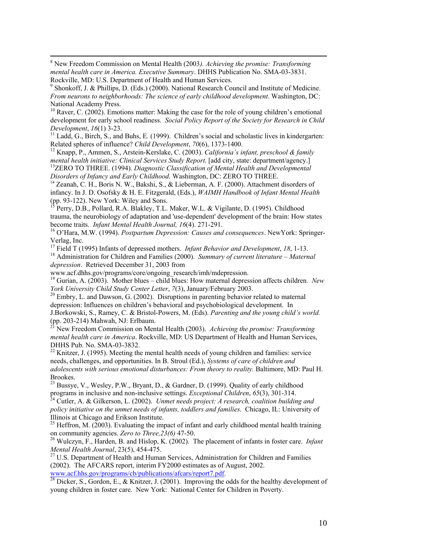8 New Freedom Commission on Mental Health (2003*). Achieving the promise: Transforming mental health care in America. Executive Summary*. DHHS Publication No. SMA-03-3831. Rockville, MD: U.S. Department of Health and Human Services.

 $10$  Raver, C. (2002). Emotions matter: Making the case for the role of young children's emotional development for early school readiness. *Social Policy Report of the Society for Research in Child* 

*Development*, *16*(1) 3-23.<br><sup>11</sup> Ladd, G., Birch, S., and Buhs, E. (1999). Children's social and scholastic lives in kindergarten:<br>Related spheres of influence? *Child Development*, 70(6), 1373-1400.

<sup>12</sup> Knapp, P., Ammen, S., Arstein-Kerslake, C. (2003). *California's infant, preschool & family* 

*mental health initiative: Clinical Services Study Report.* [add city, state: department/agency.]<br><sup>13</sup>ZERO TO THREE. (1994). *Diagnostic Classification of Mental Health and Developmental Disorders of Infancy and Early Chil* 

<sup>14</sup> Zeanah, C. H., Boris N. W., Bakshi, S., & Lieberman, A. F. (2000). Attachment disorders of infancy. In J. D. Osofsky & H. E. Fitzgerald, (Eds.), *WAIMH Handbook of Infant Mental Health* (pp. 93-122). New York: Wiley and Sons.

15 Perry, D.B., Pollard, R.A. Blakley, T.L. Maker, W.L. & Vigilante, D. (1995). Childhood trauma, the neurobiology of adaptation and 'use-dependent' development of the brain: How states become traits. *Infant Mental Health Journal, 16*(4). 271-291.<br><sup>16</sup> O'Hara, M.W. (1994). *Postpartum Depression: Causes and consequences*. NewYork: Springer-

Verlag, Inc.<br><sup>17</sup> Field T (1995) Infants of depressed mothers. *Infant Behavior and Development*, 18, 1-13.

<sup>18</sup> Administration for Children and Families (2000). *Summary of current literature – Maternal depression*. Retrieved December 31, 2003 from<br>www.acf.dhhs.gov/programs/core/ongoing research/imh/mdepression.

<sup>19</sup> Gurian, A. (2003). Mother blues – child blues: How maternal depression affects children. *New York University Child Study Center Letter*,  $7(3)$ , January/February 2003.

<sup>20</sup> Embry, L. and Dawson, G. (2002). Disruptions in parenting behavior related to maternal depression: Influences on children's behavioral and psychobiological development. In J.Borkowski, S., Ramey, C. & Bristol-Powers, M. (Eds). *Parenting and the young child's world.* (pp. 203-214) Mahwah, NJ: Erlbaum.

21 New Freedom Commission on Mental Health (2003). *Achieving the promise: Transforming mental health care in America*. Rockville, MD: US Department of Health and Human Services, DHHS Pub. No. SMA-03-3832.

 $22$  Knitzer, J. (1995). Meeting the mental health needs of young children and families: service needs, challenges, and opportunities. In B. Stroul (Ed.), *Systems of care of children and adolescents with serious emotional disturbances: From theory to reality.* Baltimore, MD: Paul H. Brookes.

<sup>23</sup> Bussye, V., Wesley, P.W., Bryant, D., & Gardner, D. (1999). Quality of early childhood programs in inclusive and non-inclusive settings. *Exceptional Children*,  $65(3)$ ,  $301-314$ .

<sup>24</sup> Cutler, A. & Gilkerson, L. (2002). *Unmet needs project: A research, coalition building and policy initiative on the unmet needs of infants, toddlers and families*. Chicago, IL: University of Illinois at Chicago and Erikson Institute.

<sup>25</sup> Heffron, M. (2003). Evaluating the impact of infant and early childhood mental health training on community agencies. *Zero to Three*,  $23(6)$  47-50.

<sup>26</sup> Wulczyn, F., Harden, B. and Hislop, K. (2002). The placement of infants in foster care. *Infant* 

*Mental Health Journal*, 23(5), 454-475.<br><sup>27</sup> U.S. Department of Health and Human Services, Administration for Children and Families (2002). The AFCARS report, interim FY2000 estimates as of August, 2002. [www.acf.hhs.gov/programs/cb/publications/afcars/report7.pdf.](http://www.acf.hhs.gov/programs/cb/publications/afcars/report7.pdf)<br><sup>[28](http://www.acf.hhs.gov/programs/cb/publications/afcars/report7.pdf)</sup> Dicker, S., Gordon, E., & Knitzer, J. (2001). Improving the odds for the healthy development of

young children in foster care. New York: National Center for Children in Poverty.

<sup>&</sup>lt;sup>9</sup> Shonkoff, J. & Phillips, D. (Eds.) (2000). National Research Council and Institute of Medicine. *From neurons to neighborhoods: The science of early childhood development*. Washington, DC: National Academy Press.